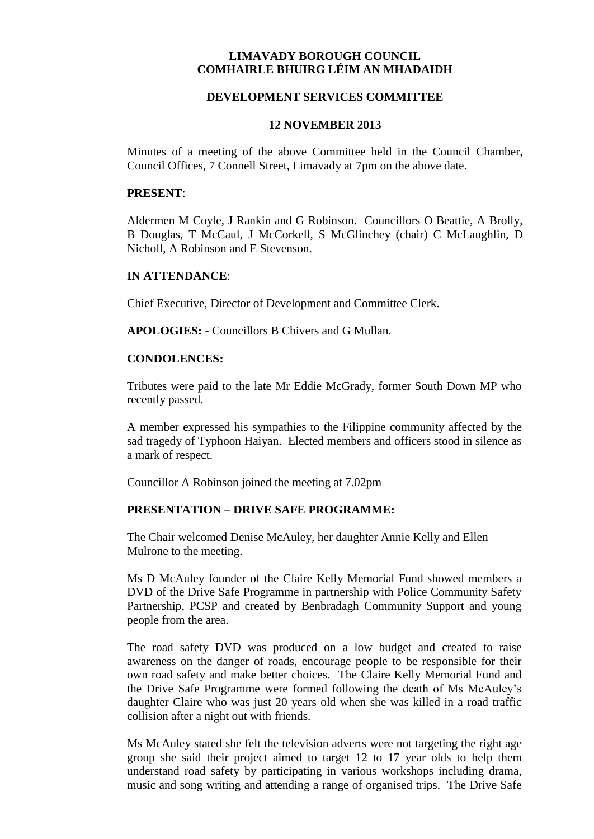## **LIMAVADY BOROUGH COUNCIL COMHAIRLE BHUIRG LÉIM AN MHADAIDH**

## **DEVELOPMENT SERVICES COMMITTEE**

#### **12 NOVEMBER 2013**

Minutes of a meeting of the above Committee held in the Council Chamber, Council Offices, 7 Connell Street, Limavady at 7pm on the above date.

#### **PRESENT**:

Aldermen M Coyle, J Rankin and G Robinson. Councillors O Beattie, A Brolly, B Douglas, T McCaul, J McCorkell, S McGlinchey (chair) C McLaughlin, D Nicholl, A Robinson and E Stevenson.

#### **IN ATTENDANCE**:

Chief Executive, Director of Development and Committee Clerk.

**APOLOGIES: -** Councillors B Chivers and G Mullan.

#### **CONDOLENCES:**

Tributes were paid to the late Mr Eddie McGrady, former South Down MP who recently passed.

A member expressed his sympathies to the Filippine community affected by the sad tragedy of Typhoon Haiyan. Elected members and officers stood in silence as a mark of respect.

Councillor A Robinson joined the meeting at 7.02pm

## **PRESENTATION – DRIVE SAFE PROGRAMME:**

The Chair welcomed Denise McAuley, her daughter Annie Kelly and Ellen Mulrone to the meeting.

Ms D McAuley founder of the Claire Kelly Memorial Fund showed members a DVD of the Drive Safe Programme in partnership with Police Community Safety Partnership, PCSP and created by Benbradagh Community Support and young people from the area.

The road safety DVD was produced on a low budget and created to raise awareness on the danger of roads, encourage people to be responsible for their own road safety and make better choices. The Claire Kelly Memorial Fund and the Drive Safe Programme were formed following the death of Ms McAuley's daughter Claire who was just 20 years old when she was killed in a road traffic collision after a night out with friends.

Ms McAuley stated she felt the television adverts were not targeting the right age group she said their project aimed to target 12 to 17 year olds to help them understand road safety by participating in various workshops including drama, music and song writing and attending a range of organised trips. The Drive Safe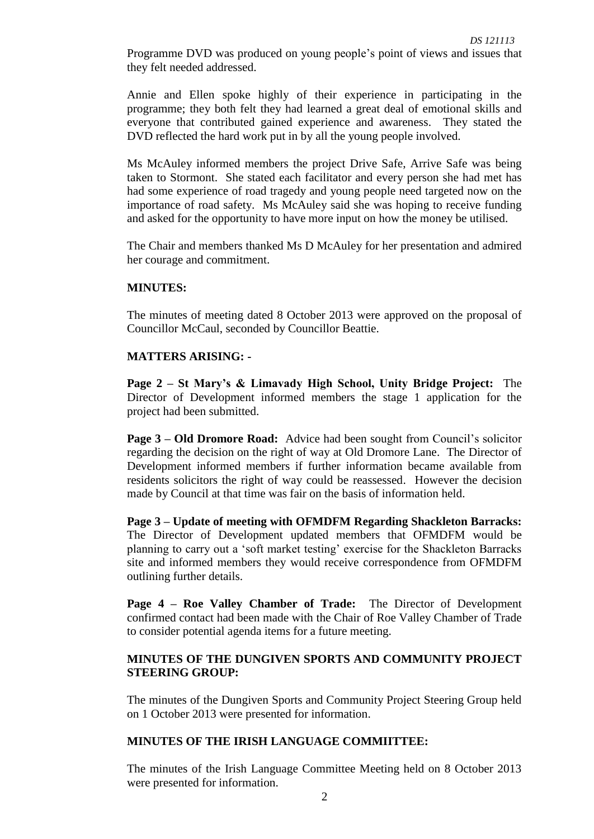Programme DVD was produced on young people's point of views and issues that they felt needed addressed.

Annie and Ellen spoke highly of their experience in participating in the programme; they both felt they had learned a great deal of emotional skills and everyone that contributed gained experience and awareness. They stated the DVD reflected the hard work put in by all the young people involved.

Ms McAuley informed members the project Drive Safe, Arrive Safe was being taken to Stormont. She stated each facilitator and every person she had met has had some experience of road tragedy and young people need targeted now on the importance of road safety. Ms McAuley said she was hoping to receive funding and asked for the opportunity to have more input on how the money be utilised.

The Chair and members thanked Ms D McAuley for her presentation and admired her courage and commitment.

#### **MINUTES:**

The minutes of meeting dated 8 October 2013 were approved on the proposal of Councillor McCaul, seconded by Councillor Beattie.

#### **MATTERS ARISING: -**

**Page 2 – St Mary's & Limavady High School, Unity Bridge Project:** The Director of Development informed members the stage 1 application for the project had been submitted.

**Page 3 – Old Dromore Road:** Advice had been sought from Council's solicitor regarding the decision on the right of way at Old Dromore Lane. The Director of Development informed members if further information became available from residents solicitors the right of way could be reassessed. However the decision made by Council at that time was fair on the basis of information held.

**Page 3 – Update of meeting with OFMDFM Regarding Shackleton Barracks:**  The Director of Development updated members that OFMDFM would be planning to carry out a 'soft market testing' exercise for the Shackleton Barracks site and informed members they would receive correspondence from OFMDFM outlining further details.

**Page 4 – Roe Valley Chamber of Trade:** The Director of Development confirmed contact had been made with the Chair of Roe Valley Chamber of Trade to consider potential agenda items for a future meeting.

## **MINUTES OF THE DUNGIVEN SPORTS AND COMMUNITY PROJECT STEERING GROUP:**

The minutes of the Dungiven Sports and Community Project Steering Group held on 1 October 2013 were presented for information.

## **MINUTES OF THE IRISH LANGUAGE COMMIITTEE:**

The minutes of the Irish Language Committee Meeting held on 8 October 2013 were presented for information.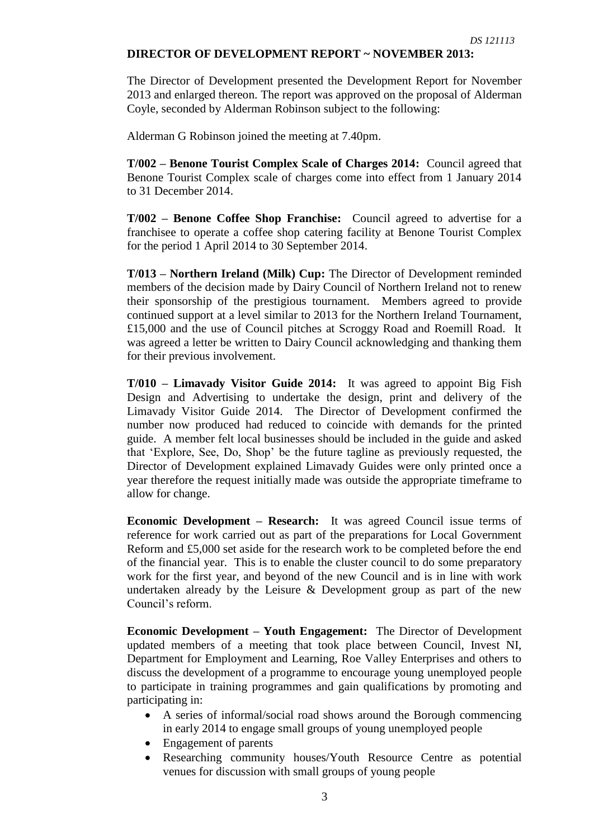## **DIRECTOR OF DEVELOPMENT REPORT ~ NOVEMBER 2013:**

The Director of Development presented the Development Report for November 2013 and enlarged thereon. The report was approved on the proposal of Alderman Coyle, seconded by Alderman Robinson subject to the following:

Alderman G Robinson joined the meeting at 7.40pm.

**T/002 – Benone Tourist Complex Scale of Charges 2014:** Council agreed that Benone Tourist Complex scale of charges come into effect from 1 January 2014 to 31 December 2014.

**T/002 – Benone Coffee Shop Franchise:** Council agreed to advertise for a franchisee to operate a coffee shop catering facility at Benone Tourist Complex for the period 1 April 2014 to 30 September 2014.

**T/013 – Northern Ireland (Milk) Cup:** The Director of Development reminded members of the decision made by Dairy Council of Northern Ireland not to renew their sponsorship of the prestigious tournament. Members agreed to provide continued support at a level similar to 2013 for the Northern Ireland Tournament, £15,000 and the use of Council pitches at Scroggy Road and Roemill Road. It was agreed a letter be written to Dairy Council acknowledging and thanking them for their previous involvement.

**T/010 – Limavady Visitor Guide 2014:** It was agreed to appoint Big Fish Design and Advertising to undertake the design, print and delivery of the Limavady Visitor Guide 2014. The Director of Development confirmed the number now produced had reduced to coincide with demands for the printed guide. A member felt local businesses should be included in the guide and asked that 'Explore, See, Do, Shop' be the future tagline as previously requested, the Director of Development explained Limavady Guides were only printed once a year therefore the request initially made was outside the appropriate timeframe to allow for change.

**Economic Development – Research:** It was agreed Council issue terms of reference for work carried out as part of the preparations for Local Government Reform and £5,000 set aside for the research work to be completed before the end of the financial year. This is to enable the cluster council to do some preparatory work for the first year, and beyond of the new Council and is in line with work undertaken already by the Leisure & Development group as part of the new Council's reform.

**Economic Development – Youth Engagement:** The Director of Development updated members of a meeting that took place between Council, Invest NI, Department for Employment and Learning, Roe Valley Enterprises and others to discuss the development of a programme to encourage young unemployed people to participate in training programmes and gain qualifications by promoting and participating in:

- A series of informal/social road shows around the Borough commencing in early 2014 to engage small groups of young unemployed people
- Engagement of parents
- Researching community houses/Youth Resource Centre as potential venues for discussion with small groups of young people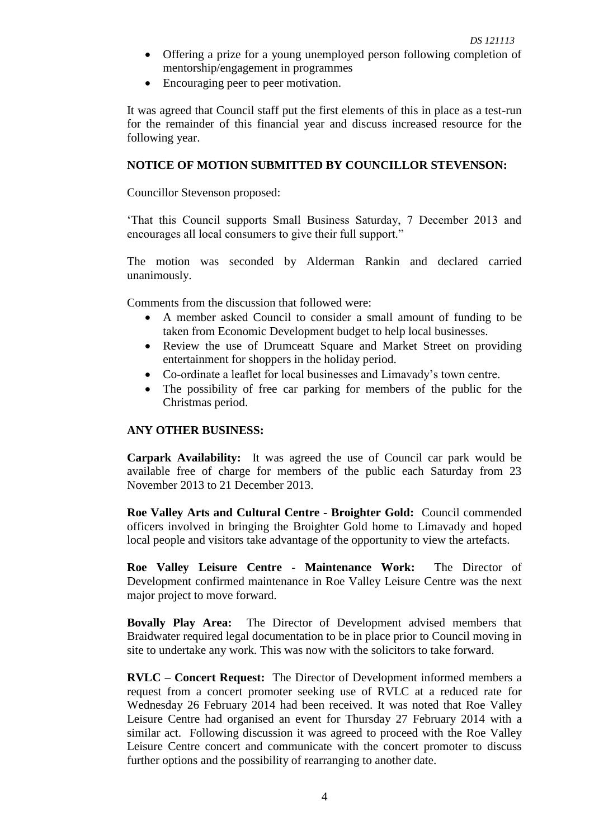- Offering a prize for a young unemployed person following completion of mentorship/engagement in programmes
- Encouraging peer to peer motivation.

It was agreed that Council staff put the first elements of this in place as a test-run for the remainder of this financial year and discuss increased resource for the following year.

## **NOTICE OF MOTION SUBMITTED BY COUNCILLOR STEVENSON:**

Councillor Stevenson proposed:

'That this Council supports Small Business Saturday, 7 December 2013 and encourages all local consumers to give their full support."

The motion was seconded by Alderman Rankin and declared carried unanimously.

Comments from the discussion that followed were:

- A member asked Council to consider a small amount of funding to be taken from Economic Development budget to help local businesses.
- Review the use of Drumceatt Square and Market Street on providing entertainment for shoppers in the holiday period.
- Co-ordinate a leaflet for local businesses and Limavady's town centre.
- The possibility of free car parking for members of the public for the Christmas period.

## **ANY OTHER BUSINESS:**

**Carpark Availability:** It was agreed the use of Council car park would be available free of charge for members of the public each Saturday from 23 November 2013 to 21 December 2013.

**Roe Valley Arts and Cultural Centre - Broighter Gold:** Council commended officers involved in bringing the Broighter Gold home to Limavady and hoped local people and visitors take advantage of the opportunity to view the artefacts.

**Roe Valley Leisure Centre - Maintenance Work:** The Director of Development confirmed maintenance in Roe Valley Leisure Centre was the next major project to move forward.

**Bovally Play Area:** The Director of Development advised members that Braidwater required legal documentation to be in place prior to Council moving in site to undertake any work. This was now with the solicitors to take forward.

**RVLC – Concert Request:** The Director of Development informed members a request from a concert promoter seeking use of RVLC at a reduced rate for Wednesday 26 February 2014 had been received. It was noted that Roe Valley Leisure Centre had organised an event for Thursday 27 February 2014 with a similar act. Following discussion it was agreed to proceed with the Roe Valley Leisure Centre concert and communicate with the concert promoter to discuss further options and the possibility of rearranging to another date.